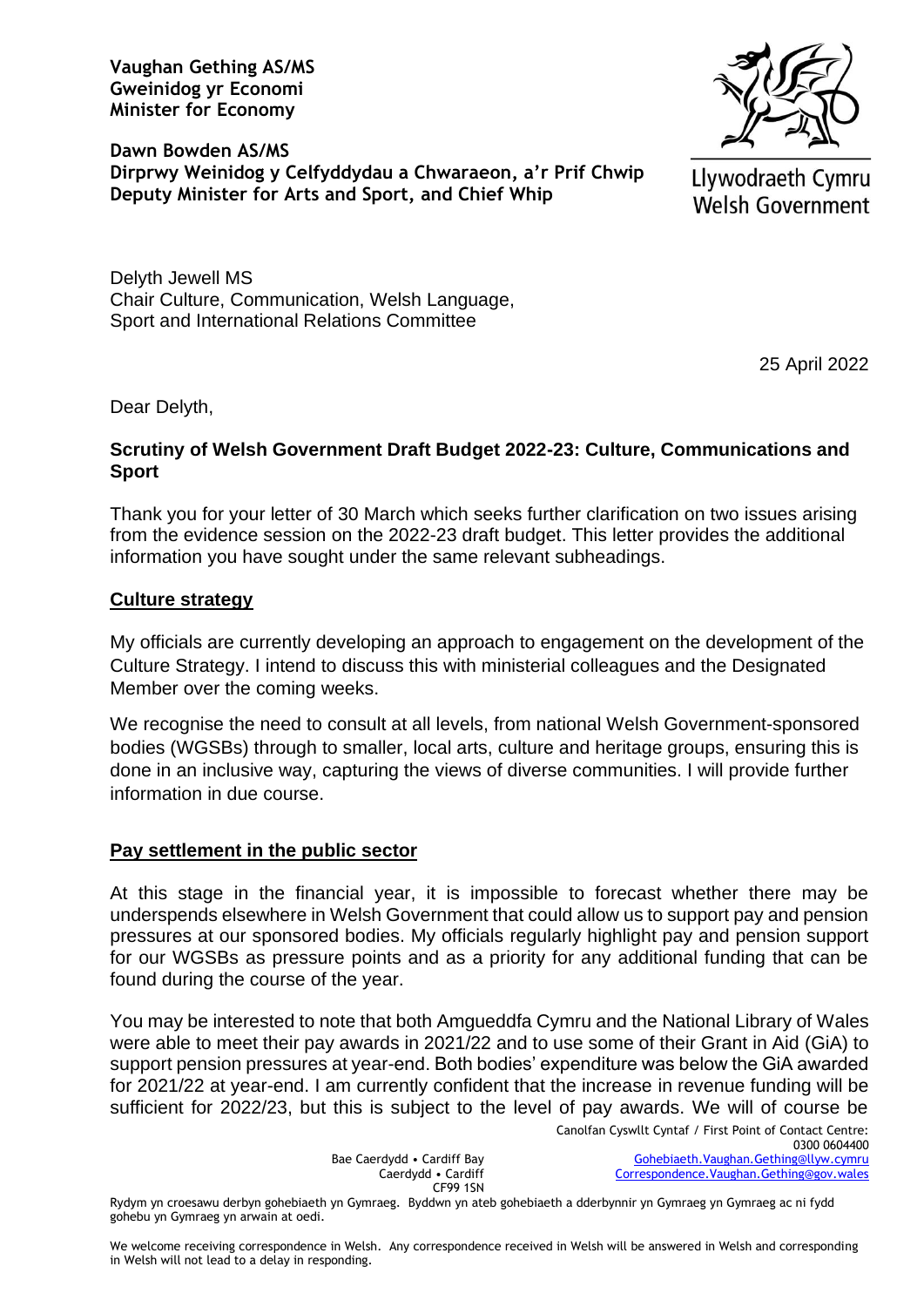**Vaughan Gething AS/MS Gweinidog yr Economi Minister for Economy**



**Dawn Bowden AS/MS Dirprwy Weinidog y Celfyddydau a Chwaraeon, a'r Prif Chwip Deputy Minister for Arts and Sport, and Chief Whip**

Llywodraeth Cymru **Welsh Government** 

Delyth Jewell MS Chair Culture, Communication, Welsh Language, Sport and International Relations Committee

25 April 2022

Dear Delyth,

## **Scrutiny of Welsh Government Draft Budget 2022-23: Culture, Communications and Sport**

Thank you for your letter of 30 March which seeks further clarification on two issues arising from the evidence session on the 2022-23 draft budget. This letter provides the additional information you have sought under the same relevant subheadings.

## **Culture strategy**

My officials are currently developing an approach to engagement on the development of the Culture Strategy. I intend to discuss this with ministerial colleagues and the Designated Member over the coming weeks.

We recognise the need to consult at all levels, from national Welsh Government-sponsored bodies (WGSBs) through to smaller, local arts, culture and heritage groups, ensuring this is done in an inclusive way, capturing the views of diverse communities. I will provide further information in due course.

## **Pay settlement in the public sector**

At this stage in the financial year, it is impossible to forecast whether there may be underspends elsewhere in Welsh Government that could allow us to support pay and pension pressures at our sponsored bodies. My officials regularly highlight pay and pension support for our WGSBs as pressure points and as a priority for any additional funding that can be found during the course of the year.

You may be interested to note that both Amgueddfa Cymru and the National Library of Wales were able to meet their pay awards in 2021/22 and to use some of their Grant in Aid (GiA) to support pension pressures at year-end. Both bodies' expenditure was below the GiA awarded for 2021/22 at year-end. I am currently confident that the increase in revenue funding will be sufficient for 2022/23, but this is subject to the level of pay awards. We will of course be

Bae Caerdydd • Cardiff Bay Caerdydd • Cardiff CF99 1SN

Rydym yn croesawu derbyn gohebiaeth yn Gymraeg. Byddwn yn ateb gohebiaeth a dderbynnir yn Gymraeg yn Gymraeg ac ni fydd gohebu yn Gymraeg yn arwain at oedi.